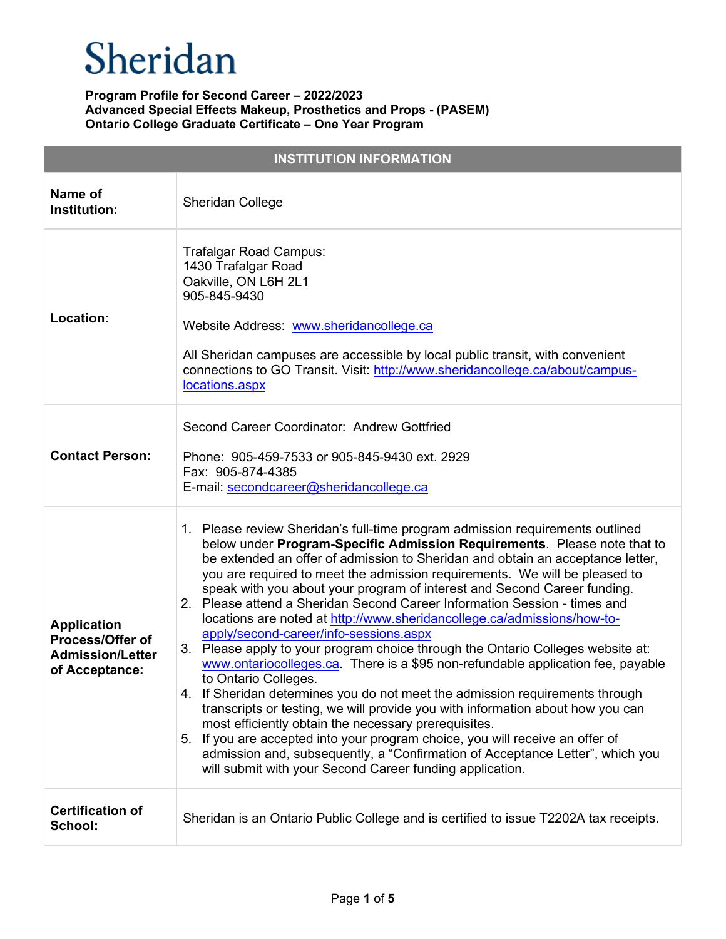| <b>INSTITUTION INFORMATION</b>                                                      |                                                                                                                                                                                                                                                                                                                                                                                                                                                                                                                                                                                                                                                                                                                                                                                                                                                                                                                                                                                                                                                                                                                                                                                                                                                               |  |
|-------------------------------------------------------------------------------------|---------------------------------------------------------------------------------------------------------------------------------------------------------------------------------------------------------------------------------------------------------------------------------------------------------------------------------------------------------------------------------------------------------------------------------------------------------------------------------------------------------------------------------------------------------------------------------------------------------------------------------------------------------------------------------------------------------------------------------------------------------------------------------------------------------------------------------------------------------------------------------------------------------------------------------------------------------------------------------------------------------------------------------------------------------------------------------------------------------------------------------------------------------------------------------------------------------------------------------------------------------------|--|
| Name of<br>Institution:                                                             | <b>Sheridan College</b>                                                                                                                                                                                                                                                                                                                                                                                                                                                                                                                                                                                                                                                                                                                                                                                                                                                                                                                                                                                                                                                                                                                                                                                                                                       |  |
| Location:                                                                           | Trafalgar Road Campus:<br>1430 Trafalgar Road<br>Oakville, ON L6H 2L1<br>905-845-9430<br>Website Address: www.sheridancollege.ca<br>All Sheridan campuses are accessible by local public transit, with convenient<br>connections to GO Transit. Visit: http://www.sheridancollege.ca/about/campus-<br>locations.aspx                                                                                                                                                                                                                                                                                                                                                                                                                                                                                                                                                                                                                                                                                                                                                                                                                                                                                                                                          |  |
| <b>Contact Person:</b>                                                              | Second Career Coordinator: Andrew Gottfried<br>Phone: 905-459-7533 or 905-845-9430 ext. 2929<br>Fax: 905-874-4385<br>E-mail: secondcareer@sheridancollege.ca                                                                                                                                                                                                                                                                                                                                                                                                                                                                                                                                                                                                                                                                                                                                                                                                                                                                                                                                                                                                                                                                                                  |  |
| <b>Application</b><br>Process/Offer of<br><b>Admission/Letter</b><br>of Acceptance: | 1. Please review Sheridan's full-time program admission requirements outlined<br>below under Program-Specific Admission Requirements. Please note that to<br>be extended an offer of admission to Sheridan and obtain an acceptance letter,<br>you are required to meet the admission requirements. We will be pleased to<br>speak with you about your program of interest and Second Career funding.<br>2. Please attend a Sheridan Second Career Information Session - times and<br>locations are noted at http://www.sheridancollege.ca/admissions/how-to-<br>apply/second-career/info-sessions.aspx<br>3. Please apply to your program choice through the Ontario Colleges website at:<br>www.ontariocolleges.ca. There is a \$95 non-refundable application fee, payable<br>to Ontario Colleges.<br>4. If Sheridan determines you do not meet the admission requirements through<br>transcripts or testing, we will provide you with information about how you can<br>most efficiently obtain the necessary prerequisites.<br>5. If you are accepted into your program choice, you will receive an offer of<br>admission and, subsequently, a "Confirmation of Acceptance Letter", which you<br>will submit with your Second Career funding application. |  |
| <b>Certification of</b><br>School:                                                  | Sheridan is an Ontario Public College and is certified to issue T2202A tax receipts.                                                                                                                                                                                                                                                                                                                                                                                                                                                                                                                                                                                                                                                                                                                                                                                                                                                                                                                                                                                                                                                                                                                                                                          |  |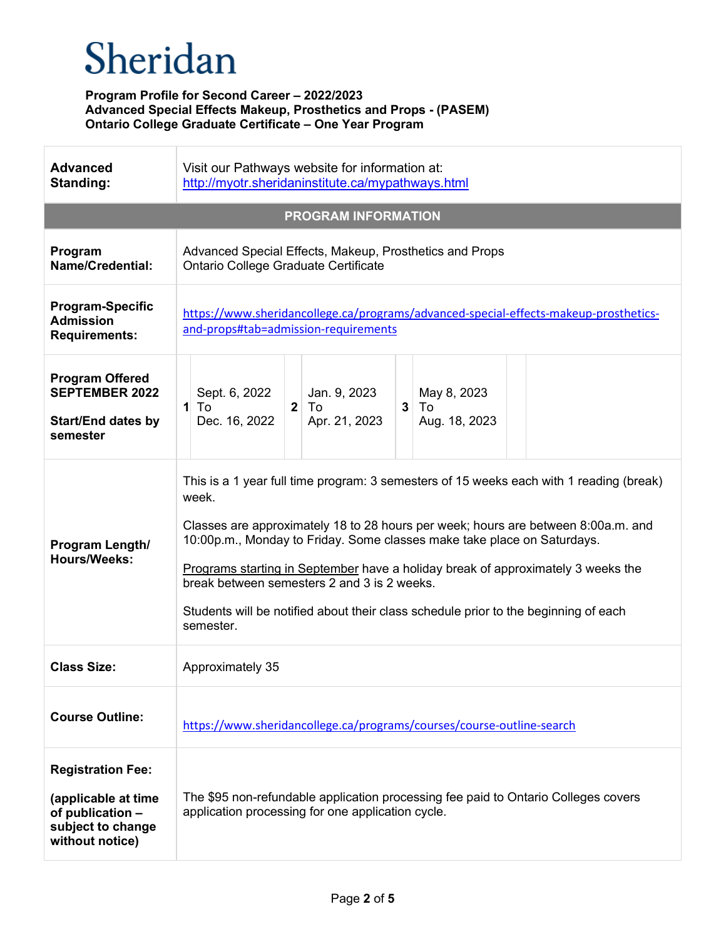| <b>Advanced</b><br>Standing:                                                                                | Visit our Pathways website for information at:<br>http://myotr.sheridaninstitute.ca/mypathways.html                                                                                                                                                                                                                                                                                                                                                                                                     |  |
|-------------------------------------------------------------------------------------------------------------|---------------------------------------------------------------------------------------------------------------------------------------------------------------------------------------------------------------------------------------------------------------------------------------------------------------------------------------------------------------------------------------------------------------------------------------------------------------------------------------------------------|--|
| <b>PROGRAM INFORMATION</b>                                                                                  |                                                                                                                                                                                                                                                                                                                                                                                                                                                                                                         |  |
| Program<br><b>Name/Credential:</b>                                                                          | Advanced Special Effects, Makeup, Prosthetics and Props<br>Ontario College Graduate Certificate                                                                                                                                                                                                                                                                                                                                                                                                         |  |
| <b>Program-Specific</b><br><b>Admission</b><br><b>Requirements:</b>                                         | https://www.sheridancollege.ca/programs/advanced-special-effects-makeup-prosthetics-<br>and-props#tab=admission-requirements                                                                                                                                                                                                                                                                                                                                                                            |  |
| <b>Program Offered</b><br><b>SEPTEMBER 2022</b><br><b>Start/End dates by</b><br>semester                    | Sept. 6, 2022<br>Jan. 9, 2023<br>May 8, 2023<br>To<br>$\mathbf{2}$<br>To<br>3<br>1<br>To<br>Dec. 16, 2022<br>Apr. 21, 2023<br>Aug. 18, 2023                                                                                                                                                                                                                                                                                                                                                             |  |
| Program Length/<br><b>Hours/Weeks:</b>                                                                      | This is a 1 year full time program: 3 semesters of 15 weeks each with 1 reading (break)<br>week.<br>Classes are approximately 18 to 28 hours per week; hours are between 8:00a.m. and<br>10:00p.m., Monday to Friday. Some classes make take place on Saturdays.<br>Programs starting in September have a holiday break of approximately 3 weeks the<br>break between semesters 2 and 3 is 2 weeks.<br>Students will be notified about their class schedule prior to the beginning of each<br>semester. |  |
| <b>Class Size:</b>                                                                                          | Approximately 35                                                                                                                                                                                                                                                                                                                                                                                                                                                                                        |  |
| <b>Course Outline:</b>                                                                                      | https://www.sheridancollege.ca/programs/courses/course-outline-search                                                                                                                                                                                                                                                                                                                                                                                                                                   |  |
| <b>Registration Fee:</b><br>(applicable at time<br>of publication -<br>subject to change<br>without notice) | The \$95 non-refundable application processing fee paid to Ontario Colleges covers<br>application processing for one application cycle.                                                                                                                                                                                                                                                                                                                                                                 |  |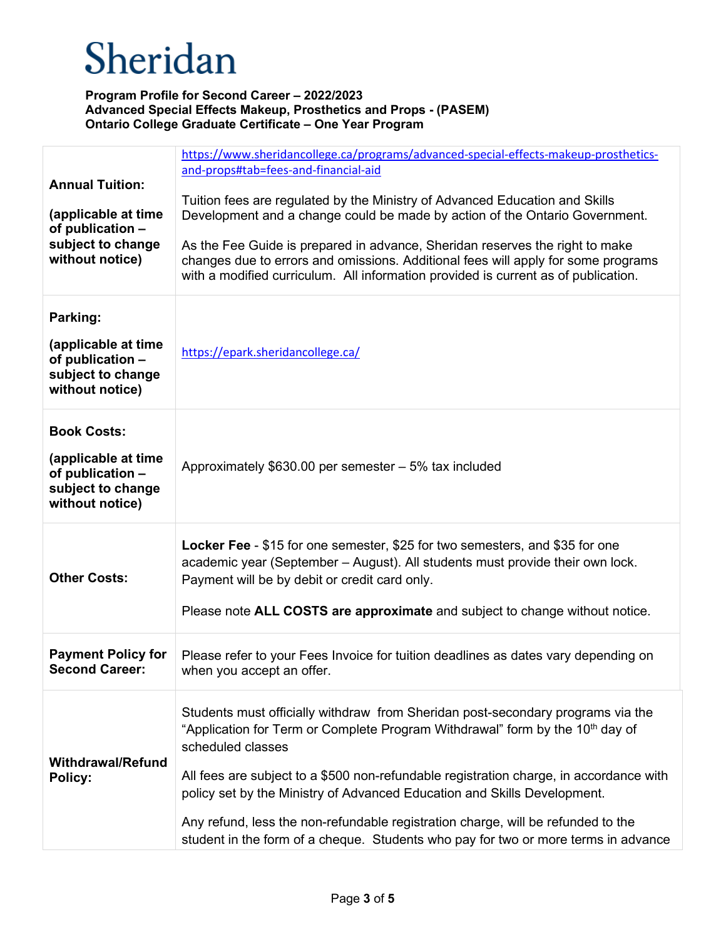| <b>Annual Tuition:</b><br>(applicable at time<br>of publication -<br>subject to change<br>without notice) | https://www.sheridancollege.ca/programs/advanced-special-effects-makeup-prosthetics-<br>and-props#tab=fees-and-financial-aid<br>Tuition fees are regulated by the Ministry of Advanced Education and Skills<br>Development and a change could be made by action of the Ontario Government.<br>As the Fee Guide is prepared in advance, Sheridan reserves the right to make<br>changes due to errors and omissions. Additional fees will apply for some programs<br>with a modified curriculum. All information provided is current as of publication. |
|-----------------------------------------------------------------------------------------------------------|-------------------------------------------------------------------------------------------------------------------------------------------------------------------------------------------------------------------------------------------------------------------------------------------------------------------------------------------------------------------------------------------------------------------------------------------------------------------------------------------------------------------------------------------------------|
| Parking:<br>(applicable at time<br>of publication -<br>subject to change<br>without notice)               | https://epark.sheridancollege.ca/                                                                                                                                                                                                                                                                                                                                                                                                                                                                                                                     |
| <b>Book Costs:</b><br>(applicable at time<br>of publication -<br>subject to change<br>without notice)     | Approximately $$630.00$ per semester $-5\%$ tax included                                                                                                                                                                                                                                                                                                                                                                                                                                                                                              |
| <b>Other Costs:</b>                                                                                       | Locker Fee - \$15 for one semester, \$25 for two semesters, and \$35 for one<br>academic year (September - August). All students must provide their own lock.<br>Payment will be by debit or credit card only.<br>Please note ALL COSTS are approximate and subject to change without notice.                                                                                                                                                                                                                                                         |
| <b>Payment Policy for</b><br><b>Second Career:</b>                                                        | Please refer to your Fees Invoice for tuition deadlines as dates vary depending on<br>when you accept an offer.                                                                                                                                                                                                                                                                                                                                                                                                                                       |
| <b>Withdrawal/Refund</b><br>Policy:                                                                       | Students must officially withdraw from Sheridan post-secondary programs via the<br>"Application for Term or Complete Program Withdrawal" form by the 10 <sup>th</sup> day of<br>scheduled classes<br>All fees are subject to a \$500 non-refundable registration charge, in accordance with<br>policy set by the Ministry of Advanced Education and Skills Development.<br>Any refund, less the non-refundable registration charge, will be refunded to the<br>student in the form of a cheque. Students who pay for two or more terms in advance     |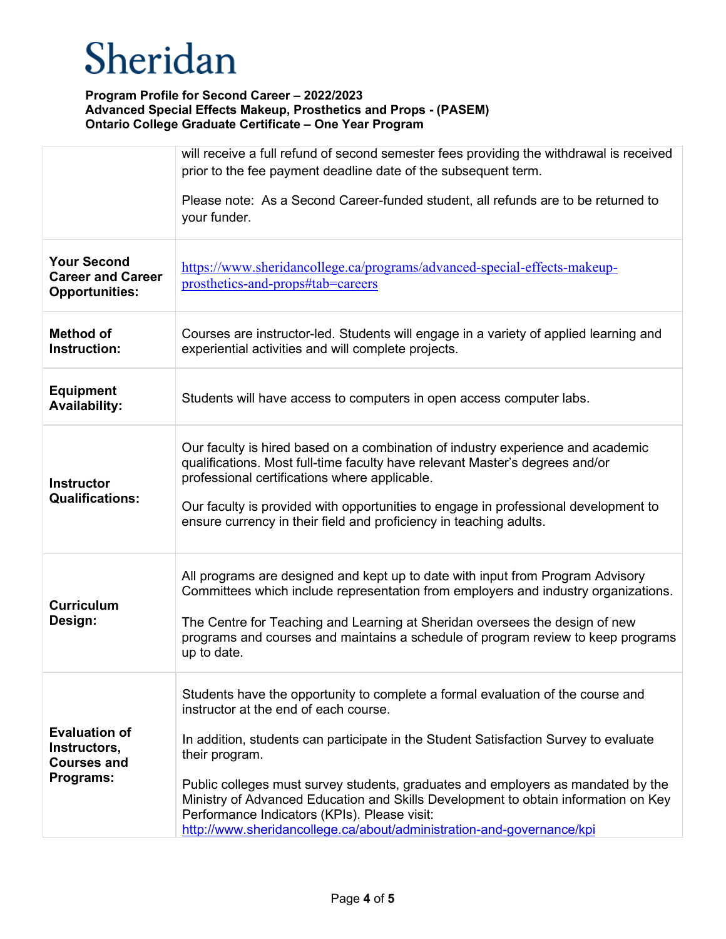|                                                                         | will receive a full refund of second semester fees providing the withdrawal is received<br>prior to the fee payment deadline date of the subsequent term.                                                                                                                                                                                                                                                                                                                                                                             |
|-------------------------------------------------------------------------|---------------------------------------------------------------------------------------------------------------------------------------------------------------------------------------------------------------------------------------------------------------------------------------------------------------------------------------------------------------------------------------------------------------------------------------------------------------------------------------------------------------------------------------|
|                                                                         | Please note: As a Second Career-funded student, all refunds are to be returned to<br>your funder.                                                                                                                                                                                                                                                                                                                                                                                                                                     |
| <b>Your Second</b><br><b>Career and Career</b><br><b>Opportunities:</b> | https://www.sheridancollege.ca/programs/advanced-special-effects-makeup-<br>prosthetics-and-props#tab=careers                                                                                                                                                                                                                                                                                                                                                                                                                         |
| <b>Method of</b><br>Instruction:                                        | Courses are instructor-led. Students will engage in a variety of applied learning and<br>experiential activities and will complete projects.                                                                                                                                                                                                                                                                                                                                                                                          |
| <b>Equipment</b><br><b>Availability:</b>                                | Students will have access to computers in open access computer labs.                                                                                                                                                                                                                                                                                                                                                                                                                                                                  |
| <b>Instructor</b><br><b>Qualifications:</b>                             | Our faculty is hired based on a combination of industry experience and academic<br>qualifications. Most full-time faculty have relevant Master's degrees and/or<br>professional certifications where applicable.<br>Our faculty is provided with opportunities to engage in professional development to<br>ensure currency in their field and proficiency in teaching adults.                                                                                                                                                         |
| <b>Curriculum</b><br>Design:                                            | All programs are designed and kept up to date with input from Program Advisory<br>Committees which include representation from employers and industry organizations.<br>The Centre for Teaching and Learning at Sheridan oversees the design of new<br>programs and courses and maintains a schedule of program review to keep programs<br>up to date.                                                                                                                                                                                |
| <b>Evaluation of</b><br>Instructors,<br><b>Courses and</b><br>Programs: | Students have the opportunity to complete a formal evaluation of the course and<br>instructor at the end of each course.<br>In addition, students can participate in the Student Satisfaction Survey to evaluate<br>their program.<br>Public colleges must survey students, graduates and employers as mandated by the<br>Ministry of Advanced Education and Skills Development to obtain information on Key<br>Performance Indicators (KPIs). Please visit:<br>http://www.sheridancollege.ca/about/administration-and-governance/kpi |